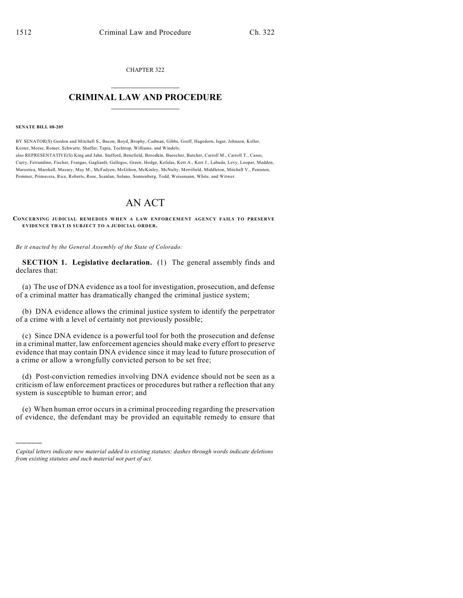CHAPTER 322  $\mathcal{L}_\text{max}$  . The set of the set of the set of the set of the set of the set of the set of the set of the set of the set of the set of the set of the set of the set of the set of the set of the set of the set of the set

## **CRIMINAL LAW AND PROCEDURE**  $\_$

**SENATE BILL 08-205**

)))))

BY SENATOR(S) Gordon and Mitchell S., Bacon, Boyd, Brophy, Cadman, Gibbs, Groff, Hagedorn, Isgar, Johnson, Keller, Kester, Morse, Romer, Schwartz, Shaffer, Tapia, Tochtrop, Williams, and Windels; also REPRESENTATIVE(S) King and Jahn, Stafford, Benefield, Borodkin, Buescher, Butcher, Carroll M., Carroll T., Casso, Curry, Ferrandino, Fischer, Frangas, Gagliardi, Gallegos, Green, Hodge, Kefalas, Kerr A., Kerr J., Labuda, Levy, Looper, Madden, Marostica, Marshall, Massey, May M., McFadyen, McGihon, McKinley, McNulty, Merrifield, Middleton, Mitchell V., Peniston, Pommer, Primavera, Rice, Roberts, Rose, Scanlan, Solano, Sonnenberg, Todd, Weissmann, White, and Witwer.

## AN ACT

**CONCERNING JUDICIAL REMEDIES WHEN A LAW ENFORCEMENT AGENCY FAILS TO PRESERVE EVIDENCE THAT IS SUBJECT TO A JUDICIAL ORDER.**

*Be it enacted by the General Assembly of the State of Colorado:*

**SECTION 1. Legislative declaration.** (1) The general assembly finds and declares that:

(a) The use of DNA evidence as a tool for investigation, prosecution, and defense of a criminal matter has dramatically changed the criminal justice system;

(b) DNA evidence allows the criminal justice system to identify the perpetrator of a crime with a level of certainty not previously possible;

(c) Since DNA evidence is a powerful tool for both the prosecution and defense in a criminal matter, law enforcement agencies should make every effort to preserve evidence that may contain DNA evidence since it may lead to future prosecution of a crime or allow a wrongfully convicted person to be set free;

(d) Post-conviction remedies involving DNA evidence should not be seen as a criticism of law enforcement practices or procedures but rather a reflection that any system is susceptible to human error; and

(e) When human error occurs in a criminal proceeding regarding the preservation of evidence, the defendant may be provided an equitable remedy to ensure that

*Capital letters indicate new material added to existing statutes; dashes through words indicate deletions from existing statutes and such material not part of act.*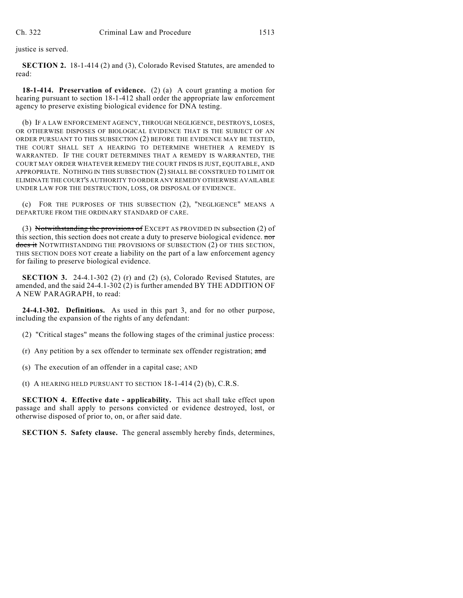justice is served.

**SECTION 2.** 18-1-414 (2) and (3), Colorado Revised Statutes, are amended to read:

**18-1-414. Preservation of evidence.** (2) (a) A court granting a motion for hearing pursuant to section 18-1-412 shall order the appropriate law enforcement agency to preserve existing biological evidence for DNA testing.

(b) IF A LAW ENFORCEMENT AGENCY, THROUGH NEGLIGENCE, DESTROYS, LOSES, OR OTHERWISE DISPOSES OF BIOLOGICAL EVIDENCE THAT IS THE SUBJECT OF AN ORDER PURSUANT TO THIS SUBSECTION (2) BEFORE THE EVIDENCE MAY BE TESTED, THE COURT SHALL SET A HEARING TO DETERMINE WHETHER A REMEDY IS WARRANTED. IF THE COURT DETERMINES THAT A REMEDY IS WARRANTED, THE COURT MAY ORDER WHATEVER REMEDY THE COURT FINDS IS JUST, EQUITABLE, AND APPROPRIATE. NOTHING IN THIS SUBSECTION (2) SHALL BE CONSTRUED TO LIMIT OR ELIMINATE THE COURT'S AUTHORITY TO ORDER ANY REMEDY OTHERWISE AVAILABLE UNDER LAW FOR THE DESTRUCTION, LOSS, OR DISPOSAL OF EVIDENCE.

(c) FOR THE PURPOSES OF THIS SUBSECTION (2), "NEGLIGENCE" MEANS A DEPARTURE FROM THE ORDINARY STANDARD OF CARE.

(3) Notwithstanding the provisions of EXCEPT AS PROVIDED IN subsection (2) of this section, this section does not create a duty to preserve biological evidence. nor does it NOTWITHSTANDING THE PROVISIONS OF SUBSECTION (2) OF THIS SECTION, THIS SECTION DOES NOT create a liability on the part of a law enforcement agency for failing to preserve biological evidence.

**SECTION 3.** 24-4.1-302 (2) (r) and (2) (s), Colorado Revised Statutes, are amended, and the said 24-4.1-302 (2) is further amended BY THE ADDITION OF A NEW PARAGRAPH, to read:

**24-4.1-302. Definitions.** As used in this part 3, and for no other purpose, including the expansion of the rights of any defendant:

(2) "Critical stages" means the following stages of the criminal justice process:

(r) Any petition by a sex offender to terminate sex offender registration;  $\alpha$ nd

(s) The execution of an offender in a capital case; AND

(t) A HEARING HELD PURSUANT TO SECTION  $18-1-414$  (2) (b), C.R.S.

**SECTION 4. Effective date - applicability.** This act shall take effect upon passage and shall apply to persons convicted or evidence destroyed, lost, or otherwise disposed of prior to, on, or after said date.

**SECTION 5. Safety clause.** The general assembly hereby finds, determines,